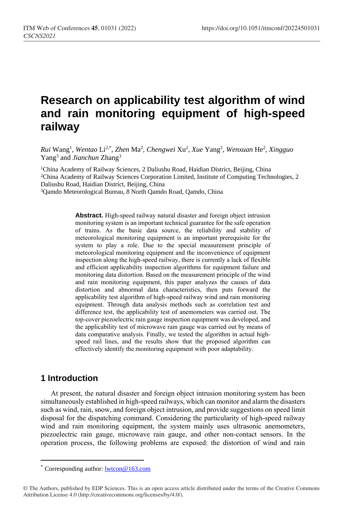# **Research on applicability test algorithm of wind and rain monitoring equipment of high-speed railway**

*Rui* Wang<sup>1</sup> , *Wentao* Li2,\* , *Zhen* Ma<sup>2</sup> , *Chengwei* Xu<sup>2</sup> , *Xue* Yang<sup>2</sup> , *Wenxuan* He<sup>2</sup> , *Xingguo* Yang<sup>3</sup> and *Jianchun* Zhang<sup>3</sup>

<sup>1</sup>China Academy of Railway Sciences, 2 Daliushu Road, Haidian District, Beijing, China <sup>2</sup>China Academy of Railway Sciences Corporation Limited, Institute of Computing Technologies, 2 Daliushu Road, Haidian District, Beijing, China

<sup>3</sup>Qamdo Meteorological Bureau, 8 North Qamdo Road, Qamdo, China

**Abstract.** High-speed railway natural disaster and foreign object intrusion monitoring system is an important technical guarantee for the safe operation of trains. As the basic data source, the reliability and stability of meteorological monitoring equipment is an important prerequisite for the system to play a role. Due to the special measurement principle of meteorological monitoring equipment and the inconvenience of equipment inspection along the high-speed railway, there is currently a lack of flexible and efficient applicability inspection algorithms for equipment failure and monitoring data distortion. Based on the measurement principle of the wind and rain monitoring equipment, this paper analyzes the causes of data distortion and abnormal data characteristics, then puts forward the applicability test algorithm of high-speed railway wind and rain monitoring equipment. Through data analysis methods such as correlation test and difference test, the applicability test of anemometers was carried out. The top-cover piezoelectric rain gauge inspection equipment was developed, and the applicability test of microwave rain gauge was carried out by means of data comparative analysis. Finally, we tested the algorithm in actual highspeed rail lines, and the results show that the proposed algorithm can effectively identify the monitoring equipment with poor adaptability.

### **1 Introduction**

 $\overline{a}$ 

At present, the natural disaster and foreign object intrusion monitoring system has been simultaneously established in high-speed railways, which can monitor and alarm the disasters such as wind, rain, snow, and foreign object intrusion, and provide suggestions on speed limit disposal for the dispatching command. Considering the particularity of high-speed railway wind and rain monitoring equipment, the system mainly uses ultrasonic anemometers, piezoelectric rain gauge, microwave rain gauge, and other non-contact sensors. In the operation process, the following problems are exposed: the distortion of wind and rain

Corresponding author: [lwtcon@163.com](mailto:lwtcon@163.com)

<sup>©</sup> The Authors, published by EDP Sciences. This is an open access article distributed under the terms of the Creative Commons Attribution License 4.0 (http://creativecommons.org/licenses/by/4.0/).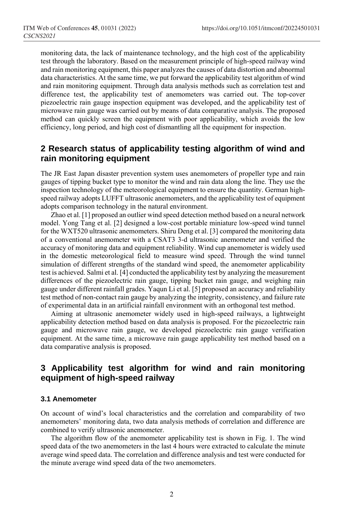monitoring data, the lack of maintenance technology, and the high cost of the applicability test through the laboratory. Based on the measurement principle of high-speed railway wind and rain monitoring equipment, this paper analyzes the causes of data distortion and abnormal data characteristics. At the same time, we put forward the applicability test algorithm of wind and rain monitoring equipment. Through data analysis methods such as correlation test and difference test, the applicability test of anemometers was carried out. The top-cover piezoelectric rain gauge inspection equipment was developed, and the applicability test of microwave rain gauge was carried out by means of data comparative analysis. The proposed method can quickly screen the equipment with poor applicability, which avoids the low efficiency, long period, and high cost of dismantling all the equipment for inspection.

### **2 Research status of applicability testing algorithm of wind and rain monitoring equipment**

The JR East Japan disaster prevention system uses anemometers of propeller type and rain gauges of tipping bucket type to monitor the wind and rain data along the line. They use the inspection technology of the meteorological equipment to ensure the quantity. German highspeed railway adopts LUFFT ultrasonic anemometers, and the applicability test of equipment adopts comparison technology in the natural environment.

Zhao et al. [1] proposed an outlier wind speed detection method based on a neural network model. Yong Tang et al. [2] designed a low-cost portable miniature low-speed wind tunnel for the WXT520 ultrasonic anemometers. Shiru Deng et al. [3] compared the monitoring data of a conventional anemometer with a CSAT3 3-d ultrasonic anemometer and verified the accuracy of monitoring data and equipment reliability. Wind cup anemometer is widely used in the domestic meteorological field to measure wind speed. Through the wind tunnel simulation of different strengths of the standard wind speed, the anemometer applicability test is achieved. Salmi et al. [4] conducted the applicability test by analyzing the measurement differences of the piezoelectric rain gauge, tipping bucket rain gauge, and weighing rain gauge under different rainfall grades. Yaqun Li et al. [5] proposed an accuracy and reliability test method of non-contact rain gauge by analyzing the integrity, consistency, and failure rate of experimental data in an artificial rainfall environment with an orthogonal test method.

Aiming at ultrasonic anemometer widely used in high-speed railways, a lightweight applicability detection method based on data analysis is proposed. For the piezoelectric rain gauge and microwave rain gauge, we developed piezoelectric rain gauge verification equipment. At the same time, a microwave rain gauge applicability test method based on a data comparative analysis is proposed.

### **3 Applicability test algorithm for wind and rain monitoring equipment of high-speed railway**

#### **3.1 Anemometer**

On account of wind's local characteristics and the correlation and comparability of two anemometers' monitoring data, two data analysis methods of correlation and difference are combined to verify ultrasonic anemometer.

The algorithm flow of the anemometer applicability test is shown in Fig. 1. The wind speed data of the two anemometers in the last 4 hours were extracted to calculate the minute average wind speed data. The correlation and difference analysis and test were conducted for the minute average wind speed data of the two anemometers.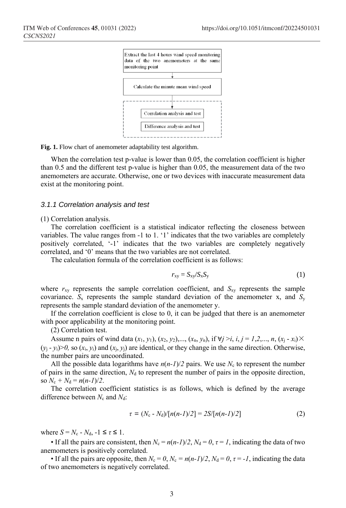

**Fig. 1.** Flow chart of anemometer adaptability test algorithm.

When the correlation test p-value is lower than 0.05, the correlation coefficient is higher than 0.5 and the different test p-value is higher than 0.05, the measurement data of the two anemometers are accurate. Otherwise, one or two devices with inaccurate measurement data exist at the monitoring point.

#### *3.1.1 Correlation analysis and test*

(1) Correlation analysis.

The correlation coefficient is a statistical indicator reflecting the closeness between variables. The value ranges from -1 to 1. '1' indicates that the two variables are completely positively correlated, '-1' indicates that the two variables are completely negatively correlated, and '0' means that the two variables are not correlated.

The calculation formula of the correlation coefficient is as follows:

$$
r_{xy} = S_{xy}/S_xS_y \tag{1}
$$

where  $r_{xy}$  represents the sample correlation coefficient, and  $S_{xy}$  represents the sample covariance.  $S_x$  represents the sample standard deviation of the anemometer x, and  $S_y$ represents the sample standard deviation of the anemometer y.

If the correlation coefficient is close to 0, it can be judged that there is an anemometer with poor applicability at the monitoring point.

(2) Correlation test.

Assume n pairs of wind data  $(x_1, y_1)$ ,  $(x_2, y_2)$ ,...,  $(x_n, y_n)$ , if  $\forall j > i$ ,  $i, j = 1, 2, ..., n$ ,  $(x_j - x_i) \times$  $(y_i - y_i) > 0$ , so  $(x_i, y_i)$  and  $(x_i, y_i)$  are identical, or they change in the same direction. Otherwise, the number pairs are uncoordinated.

All the possible data logarithms have  $n(n-1)/2$  pairs. We use  $N_c$  to represent the number of pairs in the same direction,  $N_d$  to represent the number of pairs in the opposite direction, so  $N_c + N_d = n(n-1)/2$ .

The correlation coefficient statistics is as follows, which is defined by the average difference between  $N_c$  and  $N_d$ :

$$
\tau = (N_c - N_d)/[n(n-1)/2] = 2S/[n(n-1)/2]
$$
\n(2)

where  $S = N_c - N_d$ ,  $-1 \leq \tau \leq 1$ .

• If all the pairs are consistent, then  $N_c = n(n-1)/2$ ,  $N_d = 0$ ,  $\tau = 1$ , indicating the data of two anemometers is positively correlated.

• If all the pairs are opposite, then  $N_c = 0$ ,  $N_c = n(n-1)/2$ ,  $N_d = 0$ ,  $\tau = -1$ , indicating the data of two anemometers is negatively correlated.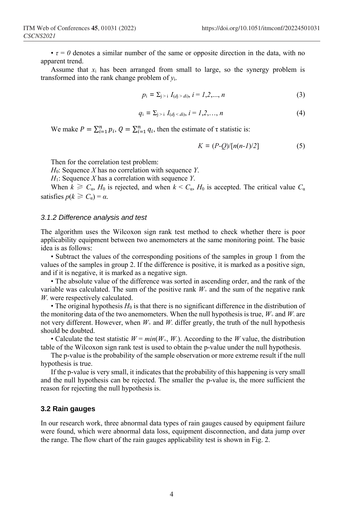$\cdot \tau = 0$  denotes a similar number of the same or opposite direction in the data, with no apparent trend.

Assume that  $x_i$  has been arranged from small to large, so the synergy problem is transformed into the rank change problem of *y*i.

$$
p_i = \sum_{j>i} I_{(dj > di)}, \, i = 1, 2, ..., n \tag{3}
$$

$$
q_i = \sum_{j>i} I_{(d_j < d_i)}, \, i = 1, 2, \dots, n \tag{4}
$$

We make  $P = \sum_{i=1}^{n} p_i$ ,  $Q = \sum_{i=1}^{n} q_i$ , then the estimate of  $\tau$  statistic is:

$$
K = (P-Q)/[n(n-1)/2]
$$
 (5)

Then for the correlation test problem:

*H*0: Sequence *X* has no correlation with sequence *Y*.

*H*1: Sequence *X* has a correlation with sequence *Y*.

When  $k \ge C_\alpha$ ,  $H_0$  is rejected, and when  $k < C_\alpha$ ,  $H_0$  is accepted. The critical value  $C_\alpha$ satisfies  $p(k \ge C_{\alpha}) = \alpha$ .

#### *3.1.2 Difference analysis and test*

The algorithm uses the Wilcoxon sign rank test method to check whether there is poor applicability equipment between two anemometers at the same monitoring point. The basic idea is as follows:

• Subtract the values of the corresponding positions of the samples in group 1 from the values of the samples in group 2. If the difference is positive, it is marked as a positive sign, and if it is negative, it is marked as a negative sign.

• The absolute value of the difference was sorted in ascending order, and the rank of the variable was calculated. The sum of the positive rank  $W_+$  and the sum of the negative rank *W*- were respectively calculated.

• The original hypothesis  $H_0$  is that there is no significant difference in the distribution of the monitoring data of the two anemometers. When the null hypothesis is true,  $W_+$  and  $W_+$  are not very different. However, when  $W_+$  and  $W_+$  differ greatly, the truth of the null hypothesis should be doubted.

• Calculate the test statistic  $W = min(W_+, W_+)$ . According to the *W* value, the distribution table of the Wilcoxon sign rank test is used to obtain the p-value under the null hypothesis.

The p-value is the probability of the sample observation or more extreme result if the null hypothesis is true.

If the p-value is very small, it indicates that the probability of this happening is very small and the null hypothesis can be rejected. The smaller the p-value is, the more sufficient the reason for rejecting the null hypothesis is.

#### **3.2 Rain gauges**

In our research work, three abnormal data types of rain gauges caused by equipment failure were found, which were abnormal data loss, equipment disconnection, and data jump over the range. The flow chart of the rain gauges applicability test is shown in Fig. 2.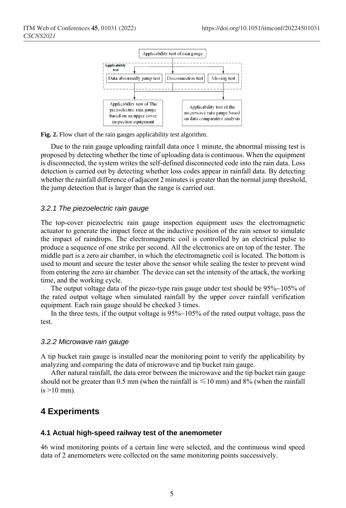

**Fig. 2.** Flow chart of the rain gauges applicability test algorithm.

Due to the rain gauge uploading rainfall data once 1 minute, the abnormal missing test is proposed by detecting whether the time of uploading data is continuous. When the equipment is disconnected, the system writes the self-defined disconnected code into the rain data. Loss detection is carried out by detecting whether loss codes appear in rainfall data. By detecting whether the rainfall difference of adjacent 2 minutes is greater than the normal jump threshold, the jump detection that is larger than the range is carried out.

#### *3.2.1 The piezoelectric rain gauge*

The top-cover piezoelectric rain gauge inspection equipment uses the electromagnetic actuator to generate the impact force at the inductive position of the rain sensor to simulate the impact of raindrops. The electromagnetic coil is controlled by an electrical pulse to produce a sequence of one strike per second. All the electronics are on top of the tester. The middle part is a zero air chamber, in which the electromagnetic coil is located. The bottom is used to mount and secure the tester above the sensor while sealing the tester to prevent wind from entering the zero air chamber. The device can set the intensity of the attack, the working time, and the working cycle.

The output voltage data of the piezo-type rain gauge under test should be 95%~105% of the rated output voltage when simulated rainfall by the upper cover rainfall verification equipment. Each rain gauge should be checked 3 times.

In the three tests, if the output voltage is 95%~105% of the rated output voltage, pass the test.

#### *3.2.2 Microwave rain gauge*

A tip bucket rain gauge is installed near the monitoring point to verify the applicability by analyzing and comparing the data of microwave and tip bucket rain gauge.

After natural rainfall, the data error between the microwave and the tip bucket rain gauge should not be greater than 0.5 mm (when the rainfall is  $\leq 10$  mm) and 8% (when the rainfall  $is >10$  mm).

### **4 Experiments**

#### **4.1 Actual high-speed railway test of the anemometer**

46 wind monitoring points of a certain line were selected, and the continuous wind speed data of 2 anemometers were collected on the same monitoring points successively.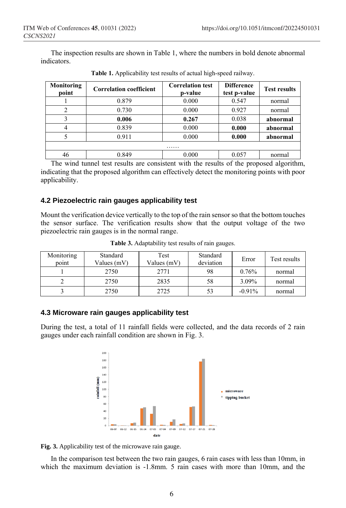The inspection results are shown in Table 1, where the numbers in bold denote abnormal indicators.

| Monitoring<br>point | <b>Correlation coefficient</b> | <b>Correlation test</b><br>p-value | <b>Difference</b><br>test p-value | <b>Test results</b> |  |  |  |  |
|---------------------|--------------------------------|------------------------------------|-----------------------------------|---------------------|--|--|--|--|
|                     | 0.879                          | 0.000                              | 0.547                             | normal              |  |  |  |  |
|                     | 0.730                          | 0.000                              | 0.927                             | normal              |  |  |  |  |
|                     | 0.006                          | 0.267                              | 0.038                             | abnormal            |  |  |  |  |
|                     | 0.839                          | 0.000                              | 0.000                             | abnormal            |  |  |  |  |
|                     | 0.911                          | 0.000                              | 0.000                             | abnormal            |  |  |  |  |
| .                   |                                |                                    |                                   |                     |  |  |  |  |
| 46                  | 0.849                          | 0.000                              | 0.057                             | normal              |  |  |  |  |

**Table 1.** Applicability test results of actual high-speed railway.

The wind tunnel test results are consistent with the results of the proposed algorithm, indicating that the proposed algorithm can effectively detect the monitoring points with poor applicability.

### **4.2 Piezoelectric rain gauges applicability test**

Mount the verification device vertically to the top of the rain sensor so that the bottom touches the sensor surface. The verification results show that the output voltage of the two piezoelectric rain gauges is in the normal range.

| Monitoring<br>point | Standard<br>Values $(mV)$ | Test<br>Values (mV) | Standard<br>deviation | Error    | Test results |
|---------------------|---------------------------|---------------------|-----------------------|----------|--------------|
|                     | 2750                      | 2771                | 98                    | 0.76%    | normal       |
|                     | 2750                      | 2835                | 58                    | 3.09%    | normal       |
|                     | 2750                      | 2725                | 53                    | $-0.91%$ | normal       |

**Table 3.** Adaptability test results of rain gauges.

### **4.3 Microware rain gauges applicability test**

During the test, a total of 11 rainfall fields were collected, and the data records of 2 rain gauges under each rainfall condition are shown in Fig. 3.



**Fig. 3.** Applicability test of the microwave rain gauge.

In the comparison test between the two rain gauges, 6 rain cases with less than 10mm, in which the maximum deviation is -1.8mm. 5 rain cases with more than 10mm, and the